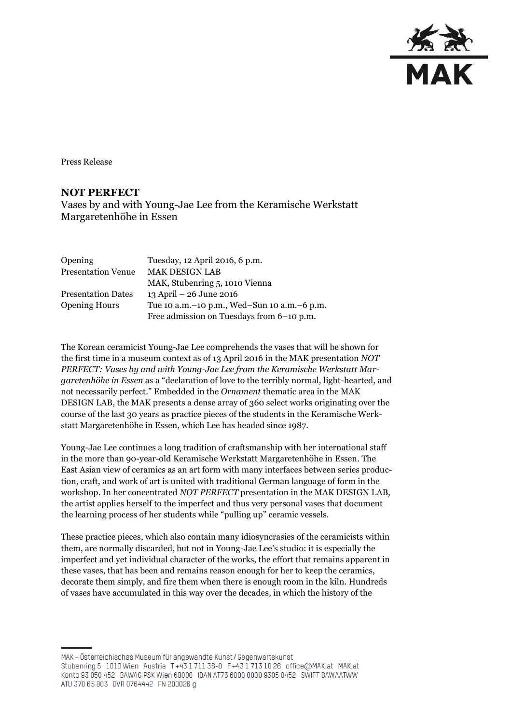

Press Release

## **NOT PERFECT**

Vases by and with Young-Jae Lee from the Keramische Werkstatt Margaretenhöhe in Essen

| Opening                   | Tuesday, 12 April 2016, 6 p.m.                  |
|---------------------------|-------------------------------------------------|
| <b>Presentation Venue</b> | <b>MAK DESIGN LAB</b>                           |
|                           | MAK, Stubenring 5, 1010 Vienna                  |
| <b>Presentation Dates</b> | 13 April $- 26$ June 2016                       |
| <b>Opening Hours</b>      | Tue 10 a.m. - 10 p.m., Wed-Sun 10 a.m. - 6 p.m. |
|                           | Free admission on Tuesdays from 6-10 p.m.       |

The Korean ceramicist Young-Jae Lee comprehends the vases that will be shown for the first time in a museum context as of 13 April 2016 in the MAK presentation *NOT PERFECT: Vases by and with Young-Jae Lee from the Keramische Werkstatt Margaretenhöhe in Essen* as a "declaration of love to the terribly normal, light-hearted, and not necessarily perfect." Embedded in the *Ornament* thematic area in the MAK DESIGN LAB, the MAK presents a dense array of 360 select works originating over the course of the last 30 years as practice pieces of the students in the Keramische Werkstatt Margaretenhöhe in Essen, which Lee has headed since 1987.

Young-Jae Lee continues a long tradition of craftsmanship with her international staff in the more than 90-year-old Keramische Werkstatt Margaretenhöhe in Essen. The East Asian view of ceramics as an art form with many interfaces between series production, craft, and work of art is united with traditional German language of form in the workshop. In her concentrated *NOT PERFECT* presentation in the MAK DESIGN LAB, the artist applies herself to the imperfect and thus very personal vases that document the learning process of her students while "pulling up" ceramic vessels.

These practice pieces, which also contain many idiosyncrasies of the ceramicists within them, are normally discarded, but not in Young-Jae Lee's studio: it is especially the imperfect and yet individual character of the works, the effort that remains apparent in these vases, that has been and remains reason enough for her to keep the ceramics, decorate them simply, and fire them when there is enough room in the kiln. Hundreds of vases have accumulated in this way over the decades, in which the history of the

MAK – Österreichisches Museum für angewandte Kunst/Gegenwartskunst Stubenring 5 1010 Wien Austria T+43 1711 36-0 F+43 1713 10 26 office@MAK.at MAK.at Konto 93 050 452 BAWAG PSK Wien 60000 IBAN AT73 6000 0000 9305 0452 SWIFT BAWAATWW ATU 370 65 803 DVR 0764442 FN 200026 g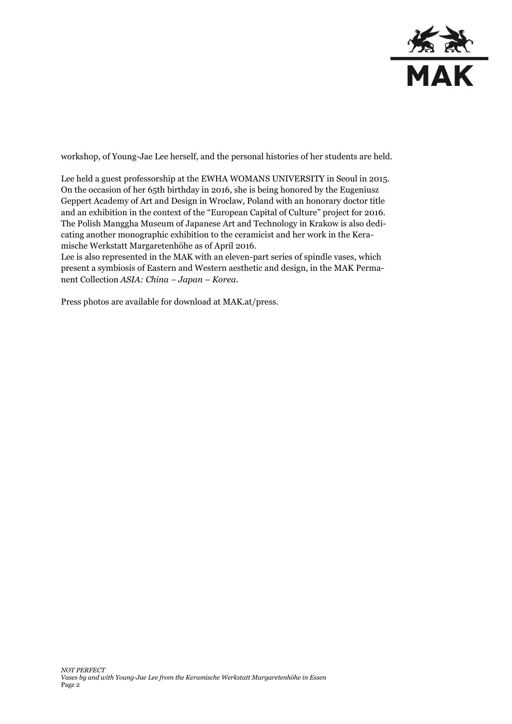

workshop, of Young-Jae Lee herself, and the personal histories of her students are held.

Lee held a guest professorship at the EWHA WOMANS UNIVERSITY in Seoul in 2015. On the occasion of her 65th birthday in 2016, she is being honored by the Eugeniusz Geppert Academy of Art and Design in Wroclaw, Poland with an honorary doctor title and an exhibition in the context of the "European Capital of Culture" project for 2016. The Polish Manggha Museum of Japanese Art and Technology in Krakow is also dedicating another monographic exhibition to the ceramicist and her work in the Keramische Werkstatt Margaretenhöhe as of April 2016.

Lee is also represented in the MAK with an eleven-part series of spindle vases, which present a symbiosis of Eastern and Western aesthetic and design, in the MAK Permanent Collection *ASIA: China – Japan – Korea*.

Press photos are available for download at MAK.at/press.